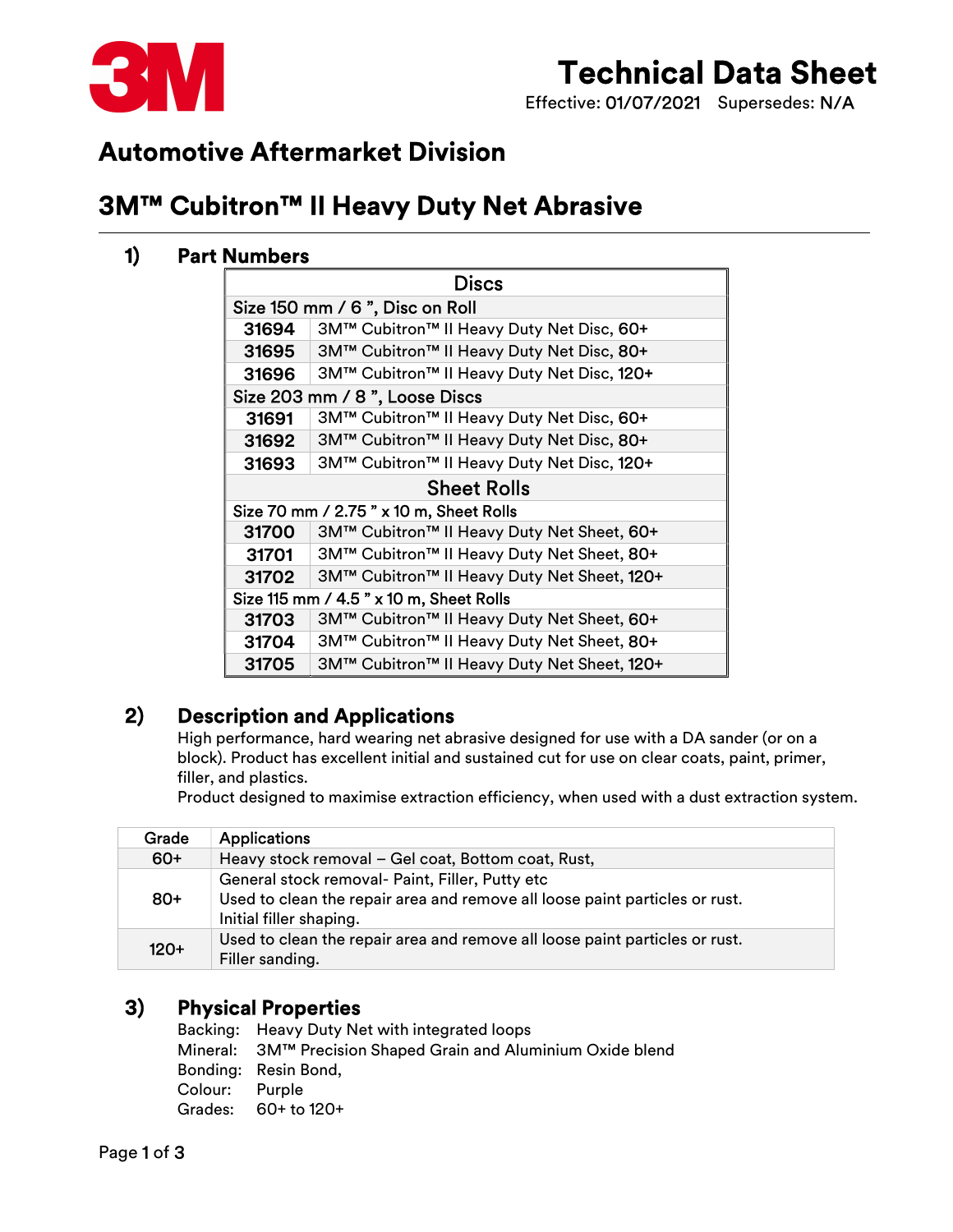

# Technical Data Sheet

Effective: 01/07/2021 Supersedes: N/A

## Automotive Aftermarket Division

## 3M™ Cubitron™ II Heavy Duty Net Abrasive

### 1) Part Numbers

| <b>Discs</b>                            |                                             |  |  |  |
|-----------------------------------------|---------------------------------------------|--|--|--|
| Size 150 mm / 6 ", Disc on Roll         |                                             |  |  |  |
| 31694                                   | 3M™ Cubitron™ II Heavy Duty Net Disc, 60+   |  |  |  |
| 31695                                   | 3M™ Cubitron™ II Heavy Duty Net Disc, 80+   |  |  |  |
| 31696                                   | 3M™ Cubitron™ II Heavy Duty Net Disc, 120+  |  |  |  |
| Size 203 mm / 8", Loose Discs           |                                             |  |  |  |
| 31691                                   | 3M™ Cubitron™ II Heavy Duty Net Disc, 60+   |  |  |  |
| 31692                                   | 3M™ Cubitron™ II Heavy Duty Net Disc, 80+   |  |  |  |
| 31693                                   | 3M™ Cubitron™ II Heavy Duty Net Disc, 120+  |  |  |  |
| <b>Sheet Rolls</b>                      |                                             |  |  |  |
|                                         | Size 70 mm / 2.75 " x 10 m, Sheet Rolls     |  |  |  |
| 31700                                   | 3M™ Cubitron™ II Heavy Duty Net Sheet, 60+  |  |  |  |
| 31701                                   | 3M™ Cubitron™ II Heavy Duty Net Sheet, 80+  |  |  |  |
| 31702                                   | 3M™ Cubitron™ II Heavy Duty Net Sheet, 120+ |  |  |  |
| Size 115 mm / 4.5 " x 10 m, Sheet Rolls |                                             |  |  |  |
| 31703                                   | 3M™ Cubitron™ II Heavy Duty Net Sheet, 60+  |  |  |  |
| 31704                                   | 3M™ Cubitron™ II Heavy Duty Net Sheet, 80+  |  |  |  |
| 31705                                   | 3M™ Cubitron™ II Heavy Duty Net Sheet, 120+ |  |  |  |

### 2) Description and Applications

High performance, hard wearing net abrasive designed for use with a DA sander (or on a block). Product has excellent initial and sustained cut for use on clear coats, paint, primer, filler, and plastics.

Product designed to maximise extraction efficiency, when used with a dust extraction system.

| Grade  | <b>Applications</b>                                                                                                                                       |
|--------|-----------------------------------------------------------------------------------------------------------------------------------------------------------|
| $60+$  | Heavy stock removal - Gel coat, Bottom coat, Rust,                                                                                                        |
| $80+$  | General stock removal- Paint, Filler, Putty etc<br>Used to clean the repair area and remove all loose paint particles or rust.<br>Initial filler shaping. |
| $120+$ | Used to clean the repair area and remove all loose paint particles or rust.<br>Filler sanding.                                                            |

### 3) Physical Properties

|                | Backing: Heavy Duty Net with integrated loops                 |
|----------------|---------------------------------------------------------------|
|                | Mineral: 3M™ Precision Shaped Grain and Aluminium Oxide blend |
|                | Bonding: Resin Bond,                                          |
| Colour: Purple |                                                               |
|                | Grades: $60+$ to $120+$                                       |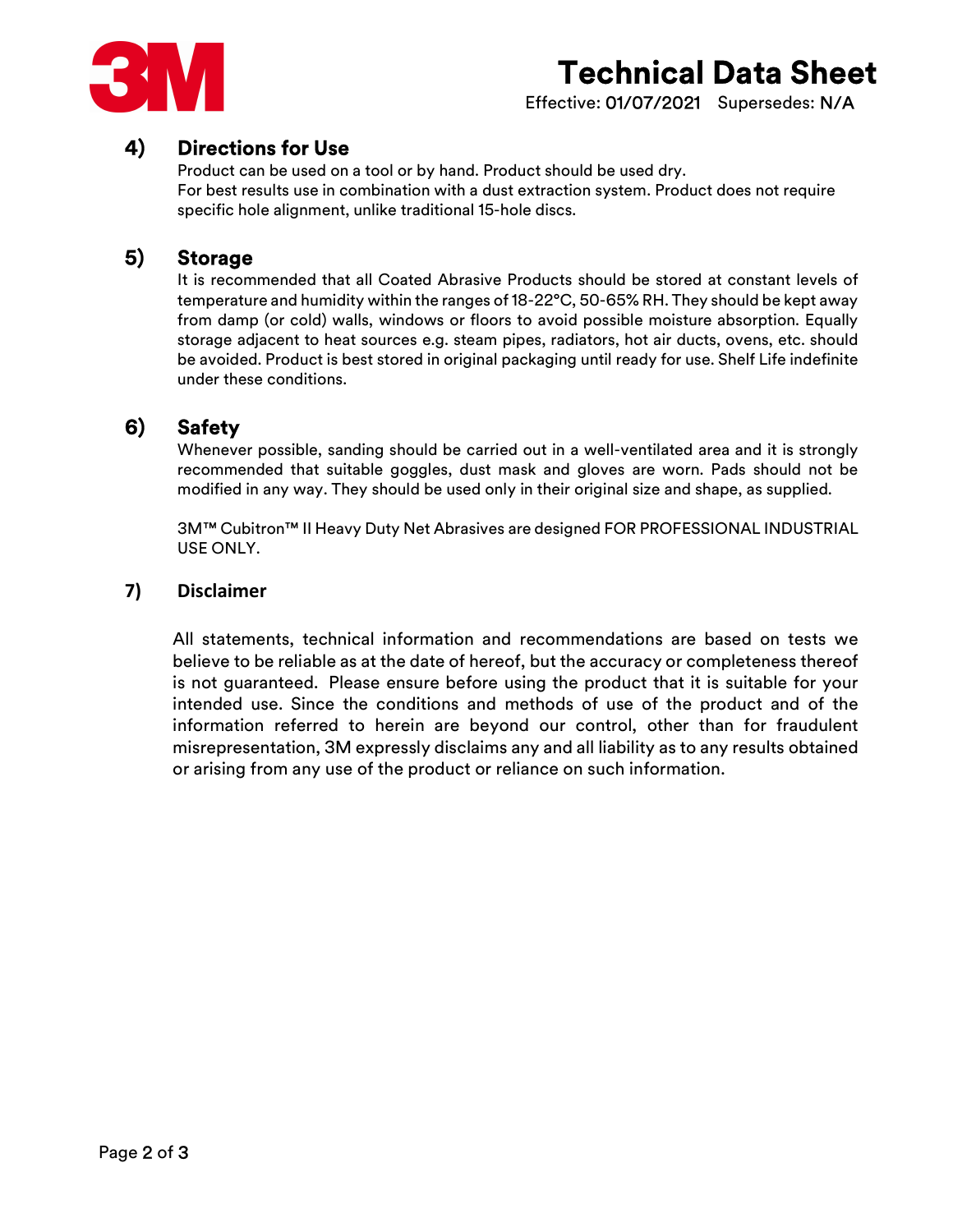

# Technical Data Sheet

Effective: 01/07/2021 Supersedes: N/A

### 4) Directions for Use

Product can be used on a tool or by hand. Product should be used dry. For best results use in combination with a dust extraction system. Product does not require specific hole alignment, unlike traditional 15-hole discs.

#### 5) Storage

It is recommended that all Coated Abrasive Products should be stored at constant levels of temperature and humidity within the ranges of 18-22°C, 50-65% RH. They should be kept away from damp (or cold) walls, windows or floors to avoid possible moisture absorption. Equally storage adjacent to heat sources e.g. steam pipes, radiators, hot air ducts, ovens, etc. should be avoided. Product is best stored in original packaging until ready for use. Shelf Life indefinite under these conditions.

### 6) Safety

Whenever possible, sanding should be carried out in a well-ventilated area and it is strongly recommended that suitable goggles, dust mask and gloves are worn. Pads should not be modified in any way. They should be used only in their original size and shape, as supplied.

3M™ Cubitron™ II Heavy Duty Net Abrasives are designed FOR PROFESSIONAL INDUSTRIAL USE ONLY.

#### 7) Disclaimer

All statements, technical information and recommendations are based on tests we believe to be reliable as at the date of hereof, but the accuracy or completeness thereof is not guaranteed. Please ensure before using the product that it is suitable for your intended use. Since the conditions and methods of use of the product and of the information referred to herein are beyond our control, other than for fraudulent misrepresentation, 3M expressly disclaims any and all liability as to any results obtained or arising from any use of the product or reliance on such information.